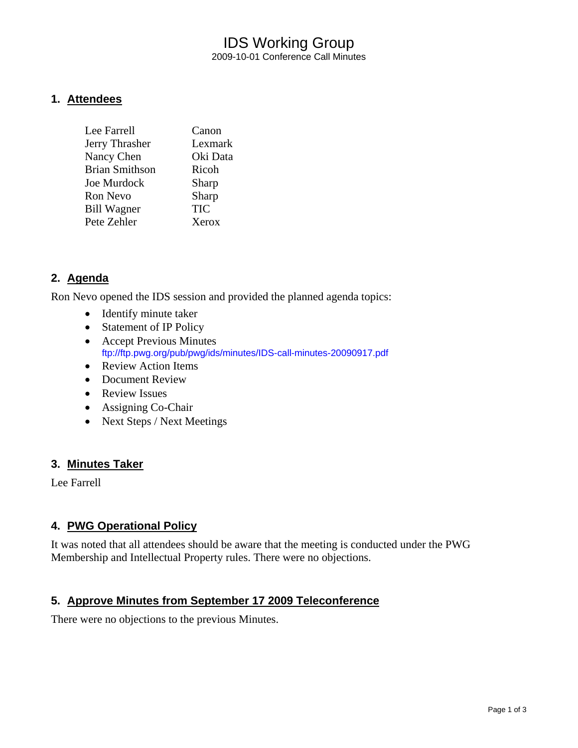# IDS Working Group 2009-10-01 Conference Call Minutes

#### **1. Attendees**

| Lee Farrell           | Canon      |
|-----------------------|------------|
| Jerry Thrasher        | Lexmark    |
| Nancy Chen            | Oki Data   |
| <b>Brian Smithson</b> | Ricoh      |
| <b>Joe Murdock</b>    | Sharp      |
| Ron Nevo              | Sharp      |
| <b>Bill Wagner</b>    | <b>TIC</b> |
| Pete Zehler           | Xerox      |
|                       |            |

# **2. Agenda**

Ron Nevo opened the IDS session and provided the planned agenda topics:

- Identify minute taker
- Statement of IP Policy
- Accept Previous Minutes <ftp://ftp.pwg.org/pub/pwg/ids/minutes/IDS-call-minutes-20090917.pdf>
- Review Action Items
- Document Review
- Review Issues
- Assigning Co-Chair
- Next Steps / Next Meetings

# **3. Minutes Taker**

Lee Farrell

# **4. PWG Operational Policy**

It was noted that all attendees should be aware that the meeting is conducted under the PWG Membership and Intellectual Property rules. There were no objections.

# **5. Approve Minutes from September 17 2009 Teleconference**

There were no objections to the previous Minutes.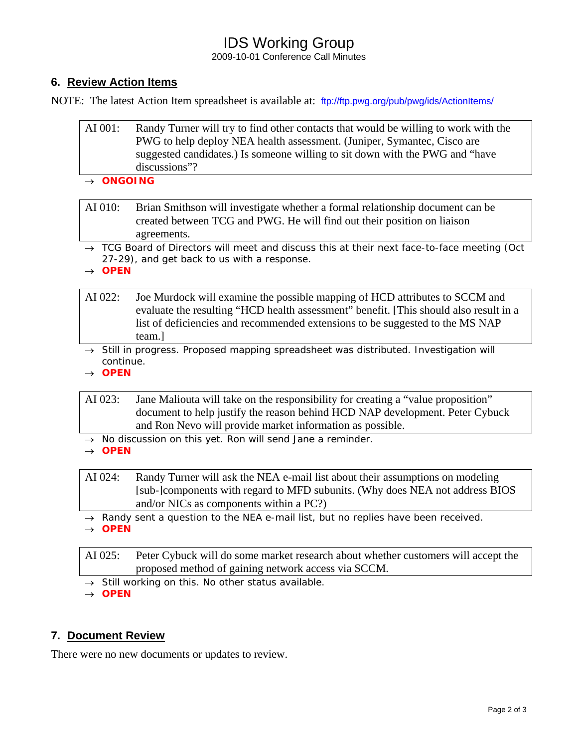# IDS Working Group

2009-10-01 Conference Call Minutes

# **6. Review Action Items**

NOTE: The latest Action Item spreadsheet is available at: <ftp://ftp.pwg.org/pub/pwg/ids/ActionItems/>

| AI 001: | Randy Turner will try to find other contacts that would be willing to work with the |
|---------|-------------------------------------------------------------------------------------|
|         | PWG to help deploy NEA health assessment. (Juniper, Symantec, Cisco are             |
|         | suggested candidates.) Is someone willing to sit down with the PWG and "have        |
|         | discussions"?                                                                       |

#### → *ONGOING*

AI 010: Brian Smithson will investigate whether a formal relationship document can be created between TCG and PWG. He will find out their position on liaison agreements.

→ *TCG Board of Directors will meet and discuss this at their next face-to-face meeting (Oct 27-29), and get back to us with a response.* 

→ *OPEN* 

- AI 022: Joe Murdock will examine the possible mapping of HCD attributes to SCCM and evaluate the resulting "HCD health assessment" benefit. [This should also result in a list of deficiencies and recommended extensions to be suggested to the MS NAP team.]
- → *Still in progress. Proposed mapping spreadsheet was distributed. Investigation will continue.*
- → *OPEN*

AI 023: Jane Maliouta will take on the responsibility for creating a "value proposition" document to help justify the reason behind HCD NAP development. Peter Cybuck and Ron Nevo will provide market information as possible.

→ *No discussion on this yet. Ron will send Jane a reminder.* 

→ *OPEN* 

AI 024: Randy Turner will ask the NEA e-mail list about their assumptions on modeling [sub-]components with regard to MFD subunits. (Why does NEA not address BIOS and/or NICs as components within a PC?)

- → *Randy sent a question to the NEA e-mail list, but no replies have been received.*
- → *OPEN*

AI 025: Peter Cybuck will do some market research about whether customers will accept the proposed method of gaining network access via SCCM.

→ *Still working on this. No other status available.* 

→ *OPEN*

# **7. Document Review**

There were no new documents or updates to review.